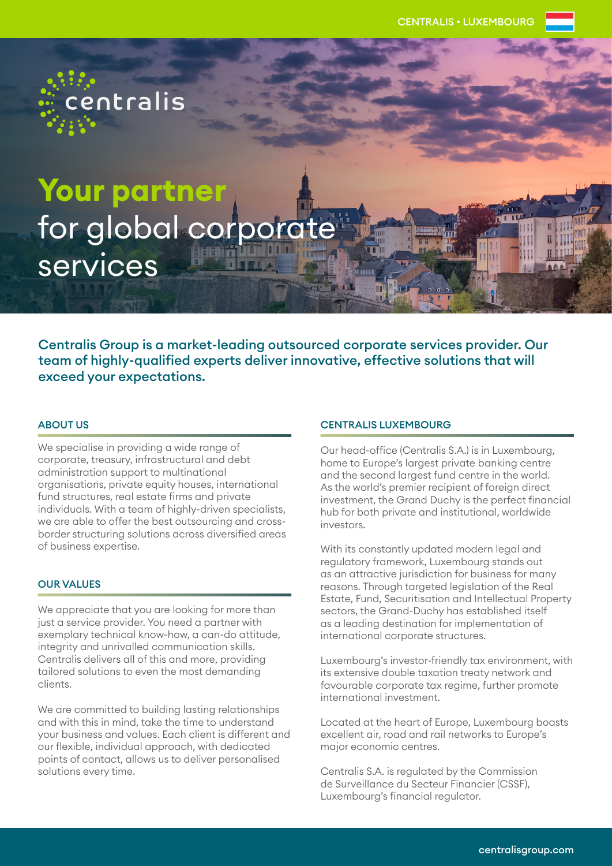**Your partner**  for global corporate services

centralis

Centralis Group is a market-leading outsourced corporate services provider. Our team of highly-qualified experts deliver innovative, effective solutions that will exceed your expectations.

## ABOUT US

We specialise in providing a wide range of corporate, treasury, infrastructural and debt administration support to multinational organisations, private equity houses, international fund structures, real estate firms and private individuals. With a team of highly-driven specialists, we are able to offer the best outsourcing and crossborder structuring solutions across diversified areas of business expertise.

## OUR VALUES

We appreciate that you are looking for more than just a service provider. You need a partner with exemplary technical know-how, a can-do attitude, integrity and unrivalled communication skills. Centralis delivers all of this and more, providing tailored solutions to even the most demanding clients.

We are committed to building lasting relationships and with this in mind, take the time to understand your business and values. Each client is different and our flexible, individual approach, with dedicated points of contact, allows us to deliver personalised solutions every time.

## CENTRALIS LUXEMBOURG

Our head-office (Centralis S.A.) is in Luxembourg, home to Europe's largest private banking centre and the second largest fund centre in the world. As the world's premier recipient of foreign direct investment, the Grand Duchy is the perfect financial hub for both private and institutional, worldwide investors.

With its constantly updated modern legal and regulatory framework, Luxembourg stands out as an attractive jurisdiction for business for many reasons. Through targeted legislation of the Real Estate, Fund, Securitisation and Intellectual Property sectors, the Grand-Duchy has established itself as a leading destination for implementation of international corporate structures.

Luxembourg's investor-friendly tax environment, with its extensive double taxation treaty network and favourable corporate tax regime, further promote international investment.

Located at the heart of Europe, Luxembourg boasts excellent air, road and rail networks to Europe's major economic centres.

Centralis S.A. is regulated by the Commission de Surveillance du Secteur Financier (CSSF), Luxembourg's financial regulator.